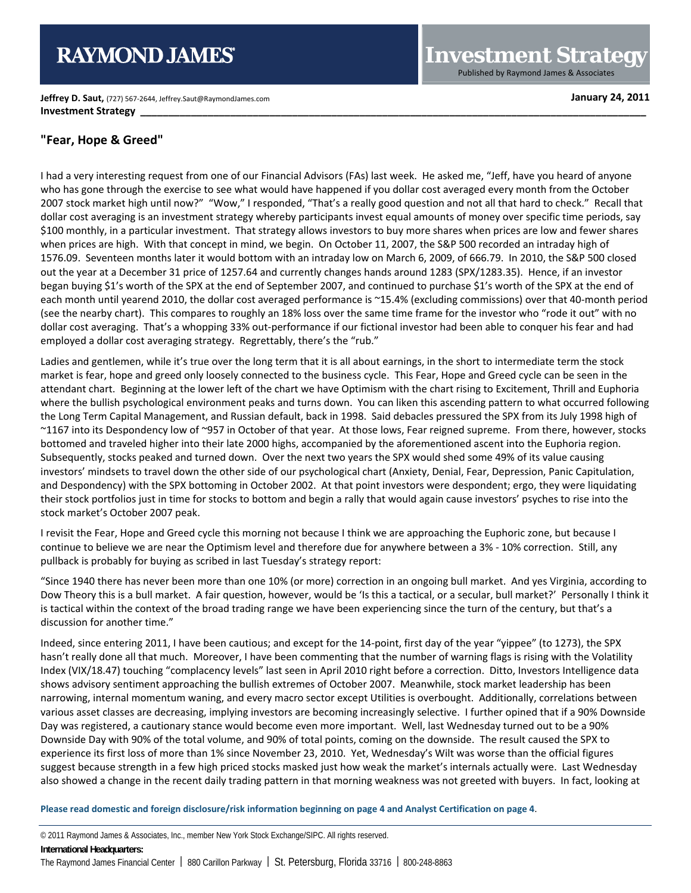# **RAYMOND JAMES**

**Jeffrey D. Saut,** (727) 567-2644, Jeffrey.Saut@RaymondJames.com **January 24, 2011 Investment Strategy** 

**Investment Strategy** Published by Raymond James & Associates

### **"Fear, Hope & Greed"**

I had a very interesting request from one of our Financial Advisors (FAs) last week. He asked me, "Jeff, have you heard of anyone who has gone through the exercise to see what would have happened if you dollar cost averaged every month from the October 2007 stock market high until now?" "Wow," I responded, "That's a really good question and not all that hard to check." Recall that dollar cost averaging is an investment strategy whereby participants invest equal amounts of money over specific time periods, say \$100 monthly, in a particular investment. That strategy allows investors to buy more shares when prices are low and fewer shares when prices are high. With that concept in mind, we begin. On October 11, 2007, the S&P 500 recorded an intraday high of 1576.09. Seventeen months later it would bottom with an intraday low on March 6, 2009, of 666.79. In 2010, the S&P 500 closed out the year at a December 31 price of 1257.64 and currently changes hands around 1283 (SPX/1283.35). Hence, if an investor began buying \$1's worth of the SPX at the end of September 2007, and continued to purchase \$1's worth of the SPX at the end of each month until yearend 2010, the dollar cost averaged performance is ~15.4% (excluding commissions) over that 40-month period (see the nearby chart). This compares to roughly an 18% loss over the same time frame for the investor who "rode it out" with no dollar cost averaging. That's a whopping 33% out-performance if our fictional investor had been able to conquer his fear and had employed a dollar cost averaging strategy. Regrettably, there's the "rub."

Ladies and gentlemen, while it's true over the long term that it is all about earnings, in the short to intermediate term the stock market is fear, hope and greed only loosely connected to the business cycle. This Fear, Hope and Greed cycle can be seen in the attendant chart. Beginning at the lower left of the chart we have Optimism with the chart rising to Excitement, Thrill and Euphoria where the bullish psychological environment peaks and turns down. You can liken this ascending pattern to what occurred following the Long Term Capital Management, and Russian default, back in 1998. Said debacles pressured the SPX from its July 1998 high of ~1167 into its Despondency low of ~957 in October of that year. At those lows, Fear reigned supreme. From there, however, stocks bottomed and traveled higher into their late 2000 highs, accompanied by the aforementioned ascent into the Euphoria region. Subsequently, stocks peaked and turned down. Over the next two years the SPX would shed some 49% of its value causing investors' mindsets to travel down the other side of our psychological chart (Anxiety, Denial, Fear, Depression, Panic Capitulation, and Despondency) with the SPX bottoming in October 2002. At that point investors were despondent; ergo, they were liquidating their stock portfolios just in time for stocks to bottom and begin a rally that would again cause investors' psyches to rise into the stock market's October 2007 peak.

I revisit the Fear, Hope and Greed cycle this morning not because I think we are approaching the Euphoric zone, but because I continue to believe we are near the Optimism level and therefore due for anywhere between a 3% - 10% correction. Still, any pullback is probably for buying as scribed in last Tuesday's strategy report:

"Since 1940 there has never been more than one 10% (or more) correction in an ongoing bull market. And yes Virginia, according to Dow Theory this is a bull market. A fair question, however, would be 'Is this a tactical, or a secular, bull market?' Personally I think it is tactical within the context of the broad trading range we have been experiencing since the turn of the century, but that's a discussion for another time."

Indeed, since entering 2011, I have been cautious; and except for the 14-point, first day of the year "yippee" (to 1273), the SPX hasn't really done all that much. Moreover, I have been commenting that the number of warning flags is rising with the Volatility Index (VIX/18.47) touching "complacency levels" last seen in April 2010 right before a correction. Ditto, Investors Intelligence data shows advisory sentiment approaching the bullish extremes of October 2007. Meanwhile, stock market leadership has been narrowing, internal momentum waning, and every macro sector except Utilities is overbought. Additionally, correlations between various asset classes are decreasing, implying investors are becoming increasingly selective. I further opined that if a 90% Downside Day was registered, a cautionary stance would become even more important. Well, last Wednesday turned out to be a 90% Downside Day with 90% of the total volume, and 90% of total points, coming on the downside. The result caused the SPX to experience its first loss of more than 1% since November 23, 2010. Yet, Wednesday's Wilt was worse than the official figures suggest because strength in a few high priced stocks masked just how weak the market's internals actually were. Last Wednesday also showed a change in the recent daily trading pattern in that morning weakness was not greeted with buyers. In fact, looking at

**Please read domestic and foreign disclosure/risk information beginning on page 4 and Analyst Certification on page 4**.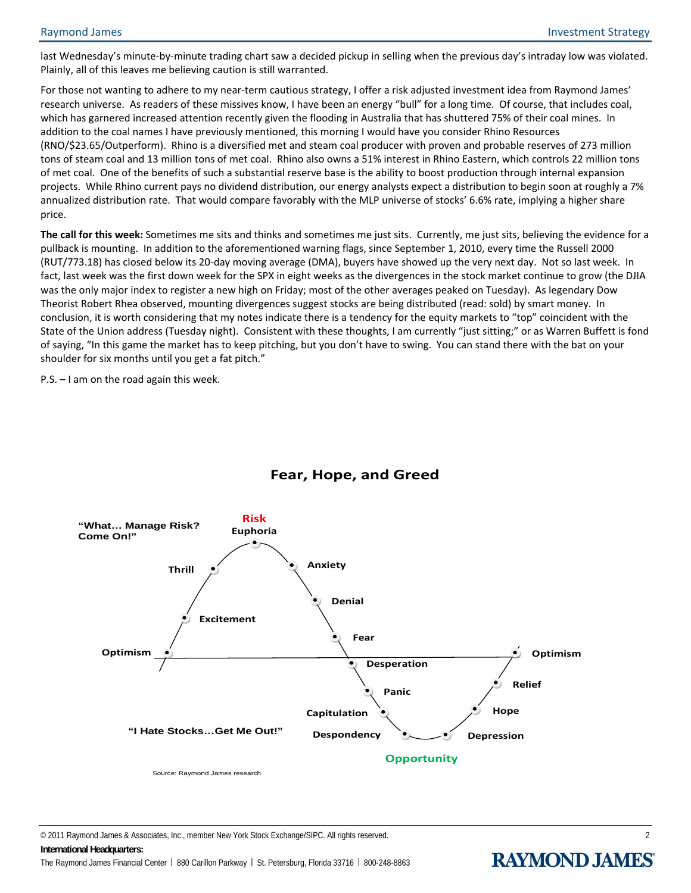last Wednesday's minute-by-minute trading chart saw a decided pickup in selling when the previous day's intraday low was violated. Plainly, all of this leaves me believing caution is still warranted.

For those not wanting to adhere to my near-term cautious strategy, I offer a risk adjusted investment idea from Raymond James' research universe. As readers of these missives know, I have been an energy "bull" for a long time. Of course, that includes coal, which has garnered increased attention recently given the flooding in Australia that has shuttered 75% of their coal mines. In addition to the coal names I have previously mentioned, this morning I would have you consider Rhino Resources (RNO/\$23.65/Outperform). Rhino is a diversified met and steam coal producer with proven and probable reserves of 273 million tons of steam coal and 13 million tons of met coal. Rhino also owns a 51% interest in Rhino Eastern, which controls 22 million tons of met coal. One of the benefits of such a substantial reserve base is the ability to boost production through internal expansion projects. While Rhino current pays no dividend distribution, our energy analysts expect a distribution to begin soon at roughly a 7% annualized distribution rate. That would compare favorably with the MLP universe of stocks' 6.6% rate, implying a higher share price.

**The call for this week:** Sometimes me sits and thinks and sometimes me just sits. Currently, me just sits, believing the evidence for a pullback is mounting. In addition to the aforementioned warning flags, since September 1, 2010, every time the Russell 2000 (RUT/773.18) has closed below its 20-day moving average (DMA), buyers have showed up the very next day. Not so last week. In fact, last week was the first down week for the SPX in eight weeks as the divergences in the stock market continue to grow (the DJIA was the only major index to register a new high on Friday; most of the other averages peaked on Tuesday). As legendary Dow Theorist Robert Rhea observed, mounting divergences suggest stocks are being distributed (read: sold) by smart money. In conclusion, it is worth considering that my notes indicate there is a tendency for the equity markets to "top" coincident with the State of the Union address (Tuesday night). Consistent with these thoughts, I am currently "just sitting;" or as Warren Buffett is fond of saying, "In this game the market has to keep pitching, but you don't have to swing. You can stand there with the bat on your shoulder for six months until you get a fat pitch."

P.S. – I am on the road again this week.



## **Fear, Hope, and Greed**

© 2011 Raymond James & Associates, Inc., member New York Stock Exchange/SIPC. All rights reserved. 2 **International Headquarters:** 

The Raymond James Financial Center | 880 Carillon Parkway | St. Petersburg, Florida 33716 | 800-248-8863

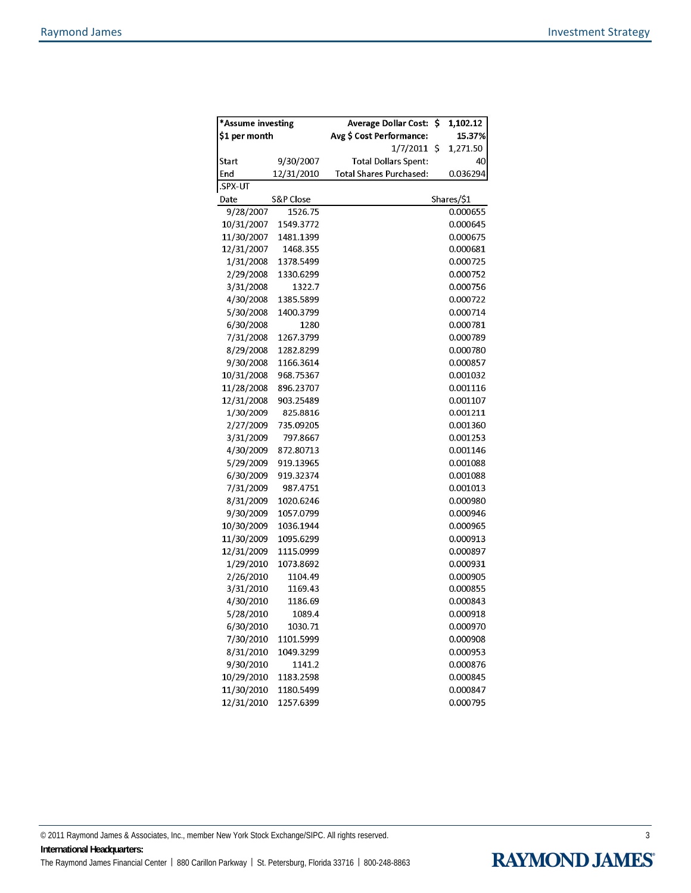| *Assume investing |            | \$<br><b>Average Dollar Cost:</b> | 1,102.12   |
|-------------------|------------|-----------------------------------|------------|
| \$1 per month     |            | Avg \$ Cost Performance:          | 15.37%     |
|                   |            | 1/7/2011<br>\$                    | 1,271.50   |
| <b>Start</b>      | 9/30/2007  | <b>Total Dollars Spent:</b>       | 40         |
| End               | 12/31/2010 | Total Shares Purchased:           | 0.036294   |
| .SPX-UT           |            |                                   |            |
| Date              | S&P Close  |                                   | Shares/\$1 |
| 9/28/2007         | 1526.75    |                                   | 0.000655   |
| 10/31/2007        | 1549.3772  |                                   | 0.000645   |
| 11/30/2007        | 1481.1399  |                                   | 0.000675   |
| 12/31/2007        | 1468.355   |                                   | 0.000681   |
| 1/31/2008         | 1378.5499  |                                   | 0.000725   |
| 2/29/2008         | 1330.6299  |                                   | 0.000752   |
| 3/31/2008         | 1322.7     |                                   | 0.000756   |
| 4/30/2008         | 1385.5899  |                                   | 0.000722   |
| 5/30/2008         | 1400.3799  |                                   | 0.000714   |
| 6/30/2008         | 1280       |                                   | 0.000781   |
| 7/31/2008         | 1267.3799  |                                   | 0.000789   |
| 8/29/2008         | 1282.8299  |                                   | 0.000780   |
| 9/30/2008         | 1166.3614  |                                   | 0.000857   |
| 10/31/2008        | 968.75367  |                                   | 0.001032   |
| 11/28/2008        | 896.23707  |                                   | 0.001116   |
| 12/31/2008        | 903.25489  |                                   | 0.001107   |
| 1/30/2009         | 825.8816   |                                   | 0.001211   |
| 2/27/2009         | 735.09205  |                                   | 0.001360   |
| 3/31/2009         | 797.8667   |                                   | 0.001253   |
| 4/30/2009         | 872.80713  |                                   | 0.001146   |
| 5/29/2009         | 919.13965  |                                   | 0.001088   |
| 6/30/2009         | 919.32374  |                                   | 0.001088   |
| 7/31/2009         | 987.4751   |                                   | 0.001013   |
| 8/31/2009         | 1020.6246  |                                   | 0.000980   |
| 9/30/2009         | 1057.0799  |                                   | 0.000946   |
| 10/30/2009        | 1036.1944  |                                   | 0.000965   |
| 11/30/2009        | 1095.6299  |                                   | 0.000913   |
| 12/31/2009        | 1115.0999  |                                   | 0.000897   |
| 1/29/2010         | 1073.8692  |                                   | 0.000931   |
| 2/26/2010         | 1104.49    |                                   | 0.000905   |
| 3/31/2010         | 1169.43    |                                   | 0.000855   |
| 4/30/2010         | 1186.69    |                                   | 0.000843   |
| 5/28/2010         | 1089.4     |                                   | 0.000918   |
| 6/30/2010         | 1030.71    |                                   | 0.000970   |
| 7/30/2010         | 1101.5999  |                                   | 0.000908   |
| 8/31/2010         | 1049.3299  |                                   | 0.000953   |
| 9/30/2010         | 1141.2     |                                   | 0.000876   |
| 10/29/2010        | 1183.2598  |                                   | 0.000845   |
| 11/30/2010        | 1180.5499  |                                   | 0.000847   |
| 12/31/2010        | 1257.6399  |                                   | 0.000795   |

© 2011 Raymond James & Associates, Inc., member New York Stock Exchange/SIPC. All rights reserved. 3 **International Headquarters:**  The Raymond James Financial Center | 880 Carillon Parkway | St. Petersburg, Florida 33716 | 800-248-8863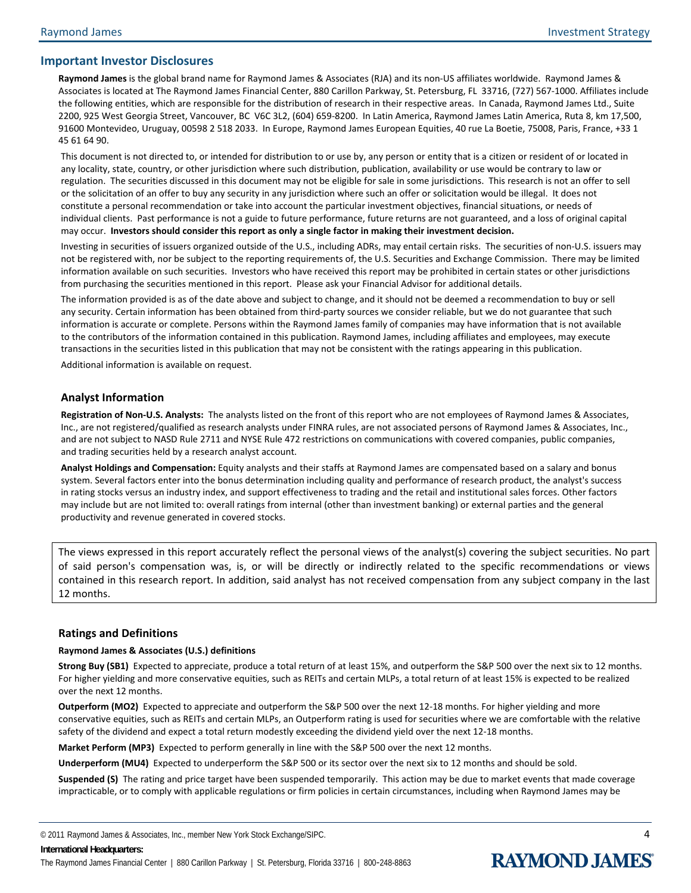#### **Important Investor Disclosures**

**Raymond James** is the global brand name for Raymond James & Associates (RJA) and its non-US affiliates worldwide. Raymond James & Associates is located at The Raymond James Financial Center, 880 Carillon Parkway, St. Petersburg, FL 33716, (727) 567-1000. Affiliates include the following entities, which are responsible for the distribution of research in their respective areas. In Canada, Raymond James Ltd., Suite 2200, 925 West Georgia Street, Vancouver, BC V6C 3L2, (604) 659-8200. In Latin America, Raymond James Latin America, Ruta 8, km 17,500, 91600 Montevideo, Uruguay, 00598 2 518 2033. In Europe, Raymond James European Equities, 40 rue La Boetie, 75008, Paris, France, +33 1 45 61 64 90.

This document is not directed to, or intended for distribution to or use by, any person or entity that is a citizen or resident of or located in any locality, state, country, or other jurisdiction where such distribution, publication, availability or use would be contrary to law or regulation. The securities discussed in this document may not be eligible for sale in some jurisdictions. This research is not an offer to sell or the solicitation of an offer to buy any security in any jurisdiction where such an offer or solicitation would be illegal. It does not constitute a personal recommendation or take into account the particular investment objectives, financial situations, or needs of individual clients. Past performance is not a guide to future performance, future returns are not guaranteed, and a loss of original capital may occur. **Investors should consider this report as only a single factor in making their investment decision.** 

Investing in securities of issuers organized outside of the U.S., including ADRs, may entail certain risks. The securities of non-U.S. issuers may not be registered with, nor be subject to the reporting requirements of, the U.S. Securities and Exchange Commission. There may be limited information available on such securities. Investors who have received this report may be prohibited in certain states or other jurisdictions from purchasing the securities mentioned in this report.Please ask your Financial Advisor for additional details.

The information provided is as of the date above and subject to change, and it should not be deemed a recommendation to buy or sell any security. Certain information has been obtained from third-party sources we consider reliable, but we do not guarantee that such information is accurate or complete. Persons within the Raymond James family of companies may have information that is not available to the contributors of the information contained in this publication. Raymond James, including affiliates and employees, may execute transactions in the securities listed in this publication that may not be consistent with the ratings appearing in this publication. Additional information is available on request.

#### **Analyst Information**

**Registration of Non-U.S. Analysts:** The analysts listed on the front of this report who are not employees of Raymond James & Associates, Inc., are not registered/qualified as research analysts under FINRA rules, are not associated persons of Raymond James & Associates, Inc., and are not subject to NASD Rule 2711 and NYSE Rule 472 restrictions on communications with covered companies, public companies, and trading securities held by a research analyst account.

**Analyst Holdings and Compensation:** Equity analysts and their staffs at Raymond James are compensated based on a salary and bonus system. Several factors enter into the bonus determination including quality and performance of research product, the analyst's success in rating stocks versus an industry index, and support effectiveness to trading and the retail and institutional sales forces. Other factors may include but are not limited to: overall ratings from internal (other than investment banking) or external parties and the general productivity and revenue generated in covered stocks.

The views expressed in this report accurately reflect the personal views of the analyst(s) covering the subject securities. No part of said person's compensation was, is, or will be directly or indirectly related to the specific recommendations or views contained in this research report. In addition, said analyst has not received compensation from any subject company in the last 12 months.

#### **Ratings and Definitions**

#### **Raymond James & Associates (U.S.) definitions**

**Strong Buy (SB1)** Expected to appreciate, produce a total return of at least 15%, and outperform the S&P 500 over the next six to 12 months. For higher yielding and more conservative equities, such as REITs and certain MLPs, a total return of at least 15% is expected to be realized over the next 12 months.

**Outperform (MO2)** Expected to appreciate and outperform the S&P 500 over the next 12-18 months. For higher yielding and more conservative equities, such as REITs and certain MLPs, an Outperform rating is used for securities where we are comfortable with the relative safety of the dividend and expect a total return modestly exceeding the dividend yield over the next 12-18 months.

**Market Perform (MP3)** Expected to perform generally in line with the S&P 500 over the next 12 months.

**Underperform (MU4)** Expected to underperform the S&P 500 or its sector over the next six to 12 months and should be sold.

**Suspended (S)** The rating and price target have been suspended temporarily. This action may be due to market events that made coverage impracticable, or to comply with applicable regulations or firm policies in certain circumstances, including when Raymond James may be

© 2011 Raymond James & Associates, Inc., member New York Stock Exchange/SIPC. 4 **International Headquarters:**  The Raymond James Financial Center | 880 Carillon Parkway | St. Petersburg, Florida 33716 | 800-248-8863

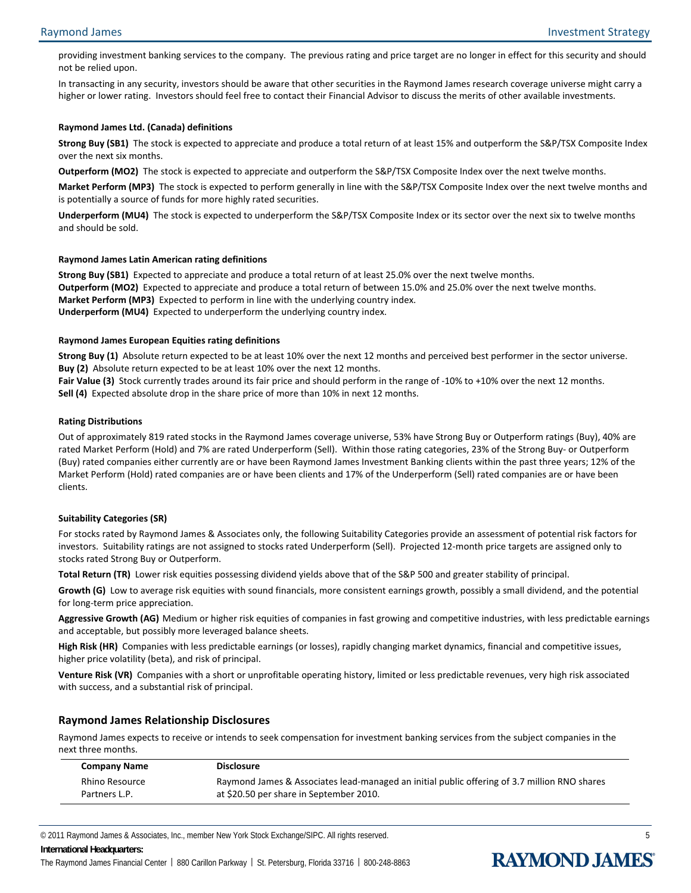providing investment banking services to the company. The previous rating and price target are no longer in effect for this security and should not be relied upon.

In transacting in any security, investors should be aware that other securities in the Raymond James research coverage universe might carry a higher or lower rating. Investors should feel free to contact their Financial Advisor to discuss the merits of other available investments.

#### **Raymond James Ltd. (Canada) definitions**

**Strong Buy (SB1)** The stock is expected to appreciate and produce a total return of at least 15% and outperform the S&P/TSX Composite Index over the next six months.

**Outperform (MO2)** The stock is expected to appreciate and outperform the S&P/TSX Composite Index over the next twelve months.

**Market Perform (MP3)** The stock is expected to perform generally in line with the S&P/TSX Composite Index over the next twelve months and is potentially a source of funds for more highly rated securities.

**Underperform (MU4)** The stock is expected to underperform the S&P/TSX Composite Index or its sector over the next six to twelve months and should be sold.

#### **Raymond James Latin American rating definitions**

**Strong Buy (SB1)** Expected to appreciate and produce a total return of at least 25.0% over the next twelve months. **Outperform (MO2)** Expected to appreciate and produce a total return of between 15.0% and 25.0% over the next twelve months. **Market Perform (MP3)** Expected to perform in line with the underlying country index. **Underperform (MU4)** Expected to underperform the underlying country index.

#### **Raymond James European Equities rating definitions**

**Strong Buy (1)** Absolute return expected to be at least 10% over the next 12 months and perceived best performer in the sector universe. **Buy (2)** Absolute return expected to be at least 10% over the next 12 months.

**Fair Value (3)** Stock currently trades around its fair price and should perform in the range of -10% to +10% over the next 12 months. **Sell (4)** Expected absolute drop in the share price of more than 10% in next 12 months.

#### **Rating Distributions**

Out of approximately 819 rated stocks in the Raymond James coverage universe, 53% have Strong Buy or Outperform ratings (Buy), 40% are rated Market Perform (Hold) and 7% are rated Underperform (Sell). Within those rating categories, 23% of the Strong Buy- or Outperform (Buy) rated companies either currently are or have been Raymond James Investment Banking clients within the past three years; 12% of the Market Perform (Hold) rated companies are or have been clients and 17% of the Underperform (Sell) rated companies are or have been clients.

#### **Suitability Categories (SR)**

For stocks rated by Raymond James & Associates only, the following Suitability Categories provide an assessment of potential risk factors for investors. Suitability ratings are not assigned to stocks rated Underperform (Sell). Projected 12-month price targets are assigned only to stocks rated Strong Buy or Outperform.

**Total Return (TR)** Lower risk equities possessing dividend yields above that of the S&P 500 and greater stability of principal.

**Growth (G)** Low to average risk equities with sound financials, more consistent earnings growth, possibly a small dividend, and the potential for long-term price appreciation.

Aggressive Growth (AG) Medium or higher risk equities of companies in fast growing and competitive industries, with less predictable earnings and acceptable, but possibly more leveraged balance sheets.

**High Risk (HR)** Companies with less predictable earnings (or losses), rapidly changing market dynamics, financial and competitive issues, higher price volatility (beta), and risk of principal.

**Venture Risk (VR)** Companies with a short or unprofitable operating history, limited or less predictable revenues, very high risk associated with success, and a substantial risk of principal.

#### **Raymond James Relationship Disclosures**

Raymond James expects to receive or intends to seek compensation for investment banking services from the subject companies in the next three months.

| <b>Company Name</b> | <b>Disclosure</b>                                                                            |
|---------------------|----------------------------------------------------------------------------------------------|
| Rhino Resource      | Raymond James & Associates lead-managed an initial public offering of 3.7 million RNO shares |
| Partners L.P.       | at \$20.50 per share in September 2010.                                                      |

© 2011 Raymond James & Associates, Inc., member New York Stock Exchange/SIPC. All rights reserved. 5

#### **International Headquarters:**

L.

The Raymond James Financial Center | 880 Carillon Parkway | St. Petersburg, Florida 33716 | 800-248-8863